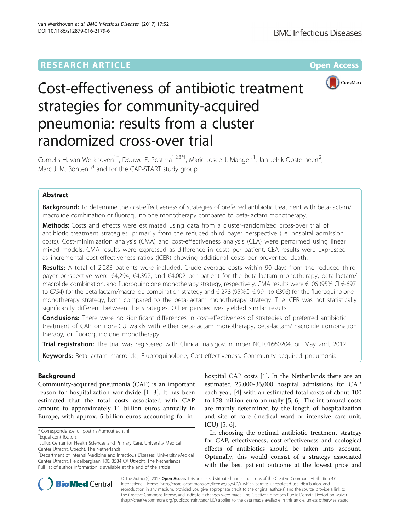# **RESEARCH ARTICLE Example 2014 12:30 The Contract of Contract ACCESS**



# Cost-effectiveness of antibiotic treatment strategies for community-acquired pneumonia: results from a cluster randomized cross-over trial

Cornelis H. van Werkhoven<sup>1†</sup>, Douwe F. Postma<sup>1,2,3\*†</sup>, Marie-Josee J. Mangen<sup>1</sup>, Jan Jelrik Oosterheert<sup>2</sup> .<br>, Marc J. M. Bonten<sup>1,4</sup> and for the CAP-START study group

## Abstract

Background: To determine the cost-effectiveness of strategies of preferred antibiotic treatment with beta-lactam/ macrolide combination or fluoroquinolone monotherapy compared to beta-lactam monotherapy.

Methods: Costs and effects were estimated using data from a cluster-randomized cross-over trial of antibiotic treatment strategies, primarily from the reduced third payer perspective (i.e. hospital admission costs). Cost-minimization analysis (CMA) and cost-effectiveness analysis (CEA) were performed using linear mixed models. CMA results were expressed as difference in costs per patient. CEA results were expressed as incremental cost-effectiveness ratios (ICER) showing additional costs per prevented death.

Results: A total of 2,283 patients were included. Crude average costs within 90 days from the reduced third payer perspective were €4,294, €4,392, and €4,002 per patient for the beta-lactam monotherapy, beta-lactam/ macrolide combination, and fluoroquinolone monotherapy strategy, respectively. CMA results were €106 (95% CI €-697 to €754) for the beta-lactam/macrolide combination strategy and €-278 (95%CI €-991 to €396) for the fluoroquinolone monotherapy strategy, both compared to the beta-lactam monotherapy strategy. The ICER was not statistically significantly different between the strategies. Other perspectives yielded similar results.

**Conclusions:** There were no significant differences in cost-effectiveness of strategies of preferred antibiotic treatment of CAP on non-ICU wards with either beta-lactam monotherapy, beta-lactam/macrolide combination therapy, or fluoroquinolone monotherapy.

Trial registration: The trial was registered with ClinicalTrials.gov, number [NCT01660204,](http://clinicaltrials.gov/show/NCT01660204) on May 2nd, 2012.

Keywords: Beta-lactam macrolide, Fluoroquinolone, Cost-effectiveness, Community acquired pneumonia

# Background

Community-acquired pneumonia (CAP) is an important reason for hospitalization worldwide [\[1](#page-6-0)–[3](#page-7-0)]. It has been estimated that the total costs associated with CAP amount to approximately 11 billion euros annually in Europe, with approx. 5 billion euros accounting for inhospital CAP costs [[1\]](#page-6-0). In the Netherlands there are an estimated 25,000-36,000 hospital admissions for CAP each year, [[4](#page-7-0)] with an estimated total costs of about 100 to 178 million euro annually [[5, 6\]](#page-7-0). The intramural costs are mainly determined by the length of hospitalization and site of care (medical ward or intensive care unit, ICU) [\[5](#page-7-0), [6](#page-7-0)].

In choosing the optimal antibiotic treatment strategy for CAP, effectiveness, cost-effectiveness and ecological effects of antibiotics should be taken into account. Optimally, this would consist of a strategy associated with the best patient outcome at the lowest price and



© The Author(s). 2017 **Open Access** This article is distributed under the terms of the Creative Commons Attribution 4.0 International License [\(http://creativecommons.org/licenses/by/4.0/](http://creativecommons.org/licenses/by/4.0/)), which permits unrestricted use, distribution, and reproduction in any medium, provided you give appropriate credit to the original author(s) and the source, provide a link to the Creative Commons license, and indicate if changes were made. The Creative Commons Public Domain Dedication waiver [\(http://creativecommons.org/publicdomain/zero/1.0/](http://creativecommons.org/publicdomain/zero/1.0/)) applies to the data made available in this article, unless otherwise stated.

<sup>\*</sup> Correspondence: [d.f.postma@umcutrecht.nl](mailto:d.f.postma@umcutrecht.nl) †

Equal contributors

<sup>&</sup>lt;sup>1</sup> Julius Center for Health Sciences and Primary Care, University Medical Center Utrecht, Utrecht, The Netherlands

<sup>&</sup>lt;sup>2</sup>Department of Internal Medicine and Infectious Diseases, University Medical Center Utrecht, Heidelberglaan 100, 3584 CX Utrecht, The Netherlands Full list of author information is available at the end of the article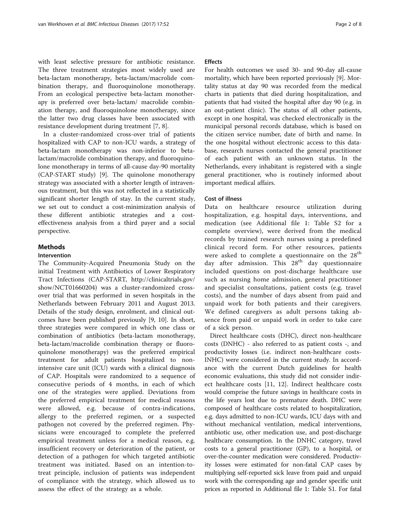with least selective pressure for antibiotic resistance. The three treatment strategies most widely used are beta-lactam monotherapy, beta-lactam/macrolide combination therapy, and fluoroquinolone monotherapy. From an ecological perspective beta-lactam monotherapy is preferred over beta-lactam/ macrolide combination therapy, and fluoroquinolone monotherapy, since the latter two drug classes have been associated with resistance development during treatment [\[7](#page-7-0), [8\]](#page-7-0).

In a cluster-randomized cross-over trial of patients hospitalized with CAP to non-ICU wards, a strategy of beta-lactam monotherapy was non-inferior to betalactam/macrolide combination therapy, and fluoroquinolone monotherapy in terms of all-cause day-90 mortality (CAP-START study) [\[9](#page-7-0)]. The quinolone monotherapy strategy was associated with a shorter length of intravenous treatment, but this was not reflected in a statistically significant shorter length of stay. In the current study, we set out to conduct a cost-minimization analysis of these different antibiotic strategies and a costeffectiveness analysis from a third payer and a social perspective.

## **Methods**

## Intervention

The Community-Acquired Pneumonia Study on the initial Treatment with Antibiotics of Lower Respiratory Tract Infections (CAP-START, [http://clinicaltrials.gov/](http://clinicaltrials.gov/show/NCT01660204) [show/NCT01660204\)](http://clinicaltrials.gov/show/NCT01660204) was a cluster-randomized crossover trial that was performed in seven hospitals in the Netherlands between February 2011 and August 2013. Details of the study design, enrolment, and clinical outcomes have been published previously [\[9](#page-7-0), [10](#page-7-0)]. In short, three strategies were compared in which one class or combination of antibiotics (beta-lactam monotherapy, beta-lactam/macrolide combination therapy or fluoroquinolone monotherapy) was the preferred empirical treatment for adult patients hospitalized to nonintensive care unit (ICU) wards with a clinical diagnosis of CAP. Hospitals were randomized to a sequence of consecutive periods of 4 months, in each of which one of the strategies were applied. Deviations from the preferred empirical treatment for medical reasons were allowed, e.g. because of contra-indications, allergy to the preferred regimen, or a suspected pathogen not covered by the preferred regimen. Physicians were encouraged to complete the preferred empirical treatment unless for a medical reason, e.g. insufficient recovery or deterioration of the patient, or detection of a pathogen for which targeted antibiotic treatment was initiated. Based on an intention-totreat principle, inclusion of patients was independent of compliance with the strategy, which allowed us to assess the effect of the strategy as a whole.

## Effects

For health outcomes we used 30- and 90-day all-cause mortality, which have been reported previously [\[9\]](#page-7-0). Mortality status at day 90 was recorded from the medical charts in patients that died during hospitalization, and patients that had visited the hospital after day 90 (e.g. in an out-patient clinic). The status of all other patients, except in one hospital, was checked electronically in the municipal personal records database, which is based on the citizen service number, date of birth and name. In the one hospital without electronic access to this database, research nurses contacted the general practitioner of each patient with an unknown status. In the Netherlands, every inhabitant is registered with a single general practitioner, who is routinely informed about important medical affairs.

## Cost of illness

Data on healthcare resource utilization during hospitalization, e.g. hospital days, interventions, and medication (see Additional file [1:](#page-6-0) Table S2 for a complete overview), were derived from the medical records by trained research nurses using a predefined clinical record form. For other resources, patients were asked to complete a questionnaire on the  $28<sup>th</sup>$ day after admission. This  $28<sup>th</sup>$  day questionnaire included questions on post-discharge healthcare use such as nursing home admission, general practitioner and specialist consultations, patient costs (e.g. travel costs), and the number of days absent from paid and unpaid work for both patients and their caregivers. We defined caregivers as adult persons taking absence from paid or unpaid work in order to take care of a sick person.

Direct healthcare costs (DHC), direct non-healthcare costs (DNHC) - also referred to as patient costs -, and productivity losses (i.e. indirect non-healthcare costs-INHC) were considered in the current study. In accordance with the current Dutch guidelines for health economic evaluations, this study did not consider indirect healthcare costs [\[11](#page-7-0), [12\]](#page-7-0). Indirect healthcare costs would comprise the future savings in healthcare costs in the life years lost due to premature death. DHC were composed of healthcare costs related to hospitalization, e.g. days admitted to non-ICU wards, ICU days with and without mechanical ventilation, medical interventions, antibiotic use, other medication use, and post-discharge healthcare consumption. In the DNHC category, travel costs to a general practitioner (GP), to a hospital, or over-the-counter medication were considered. Productivity losses were estimated for non-fatal CAP cases by multiplying self-reported sick leave from paid and unpaid work with the corresponding age and gender specific unit prices as reported in Additional file [1](#page-6-0): Table S1. For fatal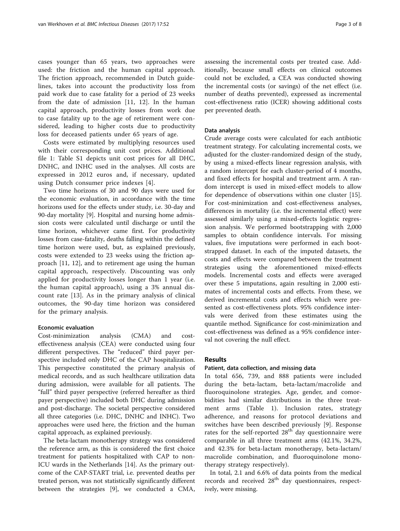cases younger than 65 years, two approaches were used: the friction and the human capital approach. The friction approach, recommended in Dutch guidelines, takes into account the productivity loss from paid work due to case fatality for a period of 23 weeks from the date of admission [[11](#page-7-0), [12](#page-7-0)]. In the human capital approach, productivity losses from work due to case fatality up to the age of retirement were considered, leading to higher costs due to productivity loss for deceased patients under 65 years of age.

Costs were estimated by multiplying resources used with their corresponding unit cost prices. Additional file [1](#page-6-0): Table S1 depicts unit cost prices for all DHC, DNHC, and INHC used in the analyses. All costs are expressed in 2012 euros and, if necessary, updated using Dutch consumer price indexes [[4\]](#page-7-0).

Two time horizons of 30 and 90 days were used for the economic evaluation, in accordance with the time horizons used for the effects under study, i.e. 30-day and 90-day mortality [[9](#page-7-0)]. Hospital and nursing home admission costs were calculated until discharge or until the time horizon, whichever came first. For productivity losses from case-fatality, deaths falling within the defined time horizon were used, but, as explained previously, costs were extended to 23 weeks using the friction approach [[11](#page-7-0), [12\]](#page-7-0), and to retirement age using the human capital approach, respectively. Discounting was only applied for productivity losses longer than 1 year (i.e. the human capital approach), using a 3% annual discount rate [[13\]](#page-7-0). As in the primary analysis of clinical outcomes, the 90-day time horizon was considered for the primary analysis.

## Economic evaluation

Cost-minimization analysis (CMA) and costeffectiveness analysis (CEA) were conducted using four different perspectives. The "reduced" third payer perspective included only DHC of the CAP hospitalization. This perspective constituted the primary analysis of medical records, and as such healthcare utilization data during admission, were available for all patients. The "full" third payer perspective (referred hereafter as third payer perspective) included both DHC during admission and post-discharge. The societal perspective considered all three categories (i.e. DHC, DNHC and INHC). Two approaches were used here, the friction and the human capital approach, as explained previously.

The beta-lactam monotherapy strategy was considered the reference arm, as this is considered the first choice treatment for patients hospitalized with CAP to non-ICU wards in the Netherlands [[14\]](#page-7-0). As the primary outcome of the CAP-START trial, i.e. prevented deaths per treated person, was not statistically significantly different between the strategies [[9\]](#page-7-0), we conducted a CMA,

assessing the incremental costs per treated case. Additionally, because small effects on clinical outcomes could not be excluded, a CEA was conducted showing the incremental costs (or savings) of the net effect (i.e. number of deaths prevented), expressed as incremental cost-effectiveness ratio (ICER) showing additional costs per prevented death.

## Data analysis

Crude average costs were calculated for each antibiotic treatment strategy. For calculating incremental costs, we adjusted for the cluster-randomized design of the study, by using a mixed-effects linear regression analysis, with a random intercept for each cluster-period of 4 months, and fixed effects for hospital and treatment arm. A random intercept is used in mixed-effect models to allow for dependence of observations within one cluster [\[15](#page-7-0)]. For cost-minimization and cost-effectiveness analyses, differences in mortality (i.e. the incremental effect) were assessed similarly using a mixed-effects logistic regression analysis. We performed bootstrapping with 2,000 samples to obtain confidence intervals. For missing values, five imputations were performed in each bootstrapped dataset. In each of the imputed datasets, the costs and effects were compared between the treatment strategies using the aforementioned mixed-effects models. Incremental costs and effects were averaged over these 5 imputations, again resulting in 2,000 estimates of incremental costs and effects. From these, we derived incremental costs and effects which were presented as cost-effectiveness plots. 95% confidence intervals were derived from these estimates using the quantile method. Significance for cost-minimization and cost-effectiveness was defined as a 95% confidence interval not covering the null effect.

## Results

#### Patient, data collection, and missing data

In total 656, 739, and 888 patients were included during the beta-lactam, beta-lactam/macrolide and fluoroquinolone strategies. Age, gender, and comorbidities had similar distributions in the three treatment arms (Table [1\)](#page-3-0). Inclusion rates, strategy adherence, and reasons for protocol deviations and switches have been described previously [[9](#page-7-0)]. Response rates for the self-reported  $28<sup>th</sup>$  day questionnaire were comparable in all three treatment arms (42.1%, 34.2%, and 42.3% for beta-lactam monotherapy, beta-lactam/ macrolide combination, and fluoroquinolone monotherapy strategy respectively).

In total, 2.1 and 6.6% of data points from the medical records and received  $28<sup>th</sup>$  day questionnaires, respectively, were missing.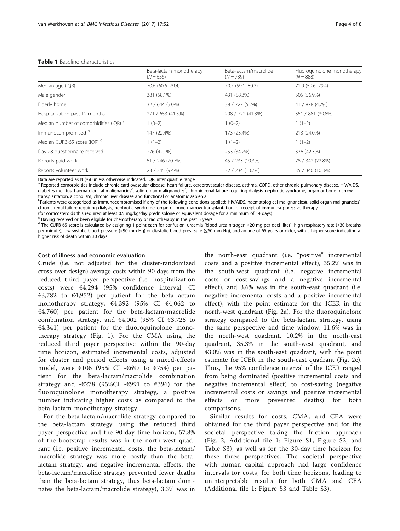| Page 4 c |  |  |
|----------|--|--|
|----------|--|--|

<span id="page-3-0"></span>

|                                         | Beta-lactam monotherapy<br>$(N = 656)$ | Beta-lactam/macrolide<br>$(N = 739)$ | Fluoroquinolone monotherapy<br>$(N = 888)$ |
|-----------------------------------------|----------------------------------------|--------------------------------------|--------------------------------------------|
| Median age (IQR)                        | 70.6 (60.6-79.4)                       | 70.7 (59.1-80.3)                     | 71.0 (59.6-79.4)                           |
| Male gender                             | 381 (58.1%)                            | 431 (58.3%)                          | 505 (56.9%)                                |
| Elderly home                            | 32 / 644 (5.0%)                        | 38 / 727 (5.2%)                      | 41 / 878 (4.7%)                            |
| Hospitalization past 12 months          | 271 / 653 (41.5%)                      | 298 / 722 (41.3%)                    | 351 / 881 (39.8%)                          |
| Median number of comorbidities (IQR) a  | $1(0-2)$                               | $1(0-2)$                             | $1(1-2)$                                   |
| Immunocompromised b                     | 147 (22.4%)                            | 173 (23.4%)                          | 213 (24.0%)                                |
| Median CURB-65 score (IQR) <sup>d</sup> | $1(1-2)$                               | $1(1-2)$                             | $1(1-2)$                                   |
| Day-28 questionnaire received           | 276 (42.1%)                            | 253 (34.2%)                          | 376 (42.3%)                                |
| Reports paid work                       | 51 / 246 (20.7%)                       | 45 / 233 (19.3%)                     | 78 / 342 (22.8%)                           |
| Reports volunteer work                  | 23 / 245 (9.4%)                        | 32 / 234 (13.7%)                     | 35 / 340 (10.3%)                           |

Data are reported as N (%) unless otherwise indicated. IQR: inter quartile range

a Reported comorbidities include chronic cardiovascular disease, heart failure, cerebrovascular disease, asthma, COPD, other chronic pulmonary disease, HIV/AIDS, diabetes mellitus, haematological malignancies<sup>c</sup>, solid organ malignancies<sup>c</sup>, chronic renal failure requiring dialysis, nephrotic syndrome, organ or bone marrow transplantation, alcoholism, chronic liver disease and functional or anatomic asplenia

b<br>Patients were categorized as immunocompromised if any of the following conditions applied: HIV/AIDS, haematological malignancies#, solid organ malignancies<sup>c</sup> , chronic renal failure requiring dialysis, nephrotic syndrome, organ or bone marrow transplantation, or receipt of immunosuppressive therapy

(for corticosteroids this required at least 0.5 mg/kg/day prednisolone or equivalent dosage for a minimum of 14 days)

Having received or been eligible for chemotherapy or radiotherapy in the past 5 years

<sup>d</sup> The CURB-65 score is calculated by assigning 1 point each for confusion, uraemia (blood urea nitrogen ≥20 mg per deci- liter), high respiratory rate (≥30 breaths per minute), low systolic blood pressure (<90 mm Hg) or diastolic blood pres- sure (≤60 mm Hg), and an age of 65 years or older, with a higher score indicating a higher risk of death within 30 days

## Cost of illness and economic evaluation

Crude (i.e. not adjusted for the cluster-randomized cross-over design) average costs within 90 days from the reduced third payer perspective (i.e. hospitalization costs) were €4,294 (95% confidence interval, CI €3,782 to €4,952) per patient for the beta-lactam monotherapy strategy, €4,392 (95% CI €4,062 to  $E(4,760)$  per patient for the beta-lactam/macrolide combination strategy, and  $\epsilon$ 4,002 (95% CI  $\epsilon$ 3,725 to  $E(4,341)$  per patient for the fluoroquinolone monotherapy strategy (Fig. [1](#page-4-0)). For the CMA using the reduced third payer perspective within the 90-day time horizon, estimated incremental costs, adjusted for cluster and period effects using a mixed-effects model, were  $\epsilon 106$  (95% CI - $\epsilon$ 697 to  $\epsilon$ 754) per patient for the beta-lactam/macrolide combination strategy and - $\epsilon$ 278 (95%CI - $\epsilon$ 991 to  $\epsilon$ 396) for the fluoroquinolone monotherapy strategy, a positive number indicating higher costs as compared to the beta-lactam monotherapy strategy.

For the beta-lactam/macrolide strategy compared to the beta-lactam strategy, using the reduced third payer perspective and the 90-day time horizon, 57.8% of the bootstrap results was in the north-west quadrant (i.e. positive incremental costs, the beta-lactam/ macrolide strategy was more costly than the betalactam strategy, and negative incremental effects, the beta-lactam/macrolide strategy prevented fewer deaths than the beta-lactam strategy, thus beta-lactam dominates the beta-lactam/macrolide strategy), 3.3% was in the north-east quadrant (i.e. "positive" incremental costs and a positive incremental effect), 35.2% was in the south-west quadrant (i.e. negative incremental costs or cost-savings and a negative incremental effect), and 3.6% was in the south-east quadrant (i.e. negative incremental costs and a positive incremental effect), with the point estimate for the ICER in the north-west quadrant (Fig. [2a](#page-5-0)). For the fluoroquinolone strategy compared to the beta-lactam strategy, using the same perspective and time window, 11.6% was in the north-west quadrant, 10.2% in the north-east quadrant, 35.3% in the south-west quadrant, and 43.0% was in the south-east quadrant, with the point estimate for ICER in the south-east quadrant (Fig. [2c](#page-5-0)). Thus, the 95% confidence interval of the ICER ranged from being dominated (positive incremental costs and negative incremental effect) to cost-saving (negative incremental costs or savings and positive incremental effects or more prevented deaths) for both comparisons.

Similar results for costs, CMA, and CEA were obtained for the third payer perspective and for the societal perspective taking the friction approach (Fig. [2,](#page-5-0) Additional file [1](#page-6-0): Figure S1, Figure S2, and Table S3), as well as for the 30-day time horizon for these three perspectives. The societal perspective with human capital approach had large confidence intervals for costs, for both time horizons, leading to uninterpretable results for both CMA and CEA (Additional file [1](#page-6-0): Figure S3 and Table S3).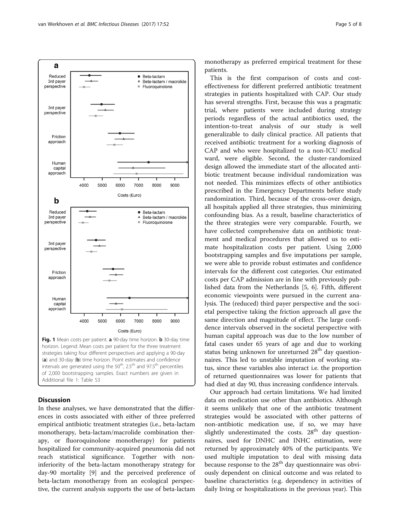<span id="page-4-0"></span>

## **Discussion**

In these analyses, we have demonstrated that the differences in costs associated with either of three preferred empirical antibiotic treatment strategies (i.e., beta-lactam monotherapy, beta-lactam/macrolide combination therapy, or fluoroquinolone monotherapy) for patients hospitalized for community-acquired pneumonia did not reach statistical significance. Together with noninferiority of the beta-lactam monotherapy strategy for day-90 mortality [\[9\]](#page-7-0) and the perceived preference of beta-lactam monotherapy from an ecological perspective, the current analysis supports the use of beta-lactam

monotherapy as preferred empirical treatment for these patients.

This is the first comparison of costs and costeffectiveness for different preferred antibiotic treatment strategies in patients hospitalized with CAP. Our study has several strengths. First, because this was a pragmatic trial, where patients were included during strategy periods regardless of the actual antibiotics used, the intention-to-treat analysis of our study is well generalizable to daily clinical practice. All patients that received antibiotic treatment for a working diagnosis of CAP and who were hospitalized to a non-ICU medical ward, were eligible. Second, the cluster-randomized design allowed the immediate start of the allocated antibiotic treatment because individual randomization was not needed. This minimizes effects of other antibiotics prescribed in the Emergency Departments before study randomization. Third, because of the cross-over design, all hospitals applied all three strategies, thus minimizing confounding bias. As a result, baseline characteristics of the three strategies were very comparable. Fourth, we have collected comprehensive data on antibiotic treatment and medical procedures that allowed us to estimate hospitalization costs per patient. Using 2,000 bootstrapping samples and five imputations per sample, we were able to provide robust estimates and confidence intervals for the different cost categories. Our estimated costs per CAP admission are in line with previously published data from the Netherlands [[5, 6\]](#page-7-0). Fifth, different economic viewpoints were pursued in the current analysis. The (reduced) third payer perspective and the societal perspective taking the friction approach all gave the same direction and magnitude of effect. The large confidence intervals observed in the societal perspective with human capital approach was due to the low number of fatal cases under 65 years of age and due to working status being unknown for unreturned  $28<sup>th</sup>$  day questionnaires. This led to unstable imputation of working status, since these variables also interact i.e. the proportion of returned questionnaires was lower for patients that had died at day 90, thus increasing confidence intervals.

Our approach had certain limitations. We had limited data on medication use other than antibiotics. Although it seems unlikely that one of the antibiotic treatment strategies would be associated with other patterns of non-antibiotic medication use, if so, we may have slightly underestimated the costs.  $28<sup>th</sup>$  day questionnaires, used for DNHC and INHC estimation, were returned by approximately 40% of the participants. We used multiple imputation to deal with missing data because response to the  $28<sup>th</sup>$  day questionnaire was obviously dependent on clinical outcome and was related to baseline characteristics (e.g. dependency in activities of daily living or hospitalizations in the previous year). This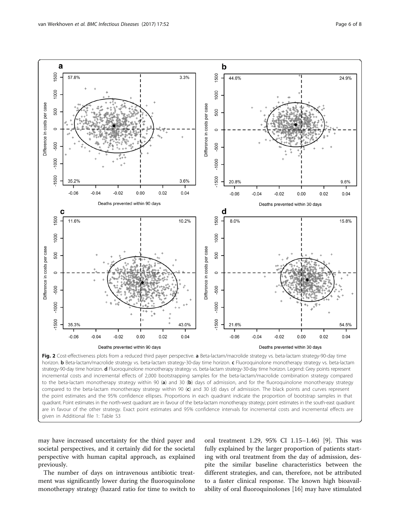<span id="page-5-0"></span>

horizon. **b** Beta-lactam/macrolide strategy vs. beta-lactam strategy-30-day time horizon. c Fluoroquinolone monotherapy strategy vs. beta-lactam strategy-90-day time horizon. d Fluoroquinolone monotherapy strategy vs. beta-lactam strategy-30-day time horizon. Legend: Grey points represent incremental costs and incremental effects of 2,000 bootstrapping samples for the beta-lactam/macrolide combination strategy compared to the beta-lactam monotherapy strategy within 90 (a) and 30 (b) days of admission, and for the fluoroquinolone monotherapy strategy compared to the beta-lactam monotherapy strategy within 90  $(c)$  and 30 (d) days of admission. The black points and curves represent the point estimates and the 95% confidence ellipses. Proportions in each quadrant indicate the proportion of bootstrap samples in that quadrant. Point estimates in the north-west quadrant are in favour of the beta-lactam monotherapy strategy; point estimates in the south-east quadrant are in favour of the other strategy. Exact point estimates and 95% confidence intervals for incremental costs and incremental effects are given in Additional file [1:](#page-6-0) Table S3

may have increased uncertainty for the third payer and societal perspectives, and it certainly did for the societal perspective with human capital approach, as explained previously.

The number of days on intravenous antibiotic treatment was significantly lower during the fluoroquinolone monotherapy strategy (hazard ratio for time to switch to

oral treatment 1.29, 95% CI 1.15–1.46) [\[9](#page-7-0)]. This was fully explained by the larger proportion of patients starting with oral treatment from the day of admission, despite the similar baseline characteristics between the different strategies, and can, therefore, not be attributed to a faster clinical response. The known high bioavailability of oral fluoroquinolones [\[16\]](#page-7-0) may have stimulated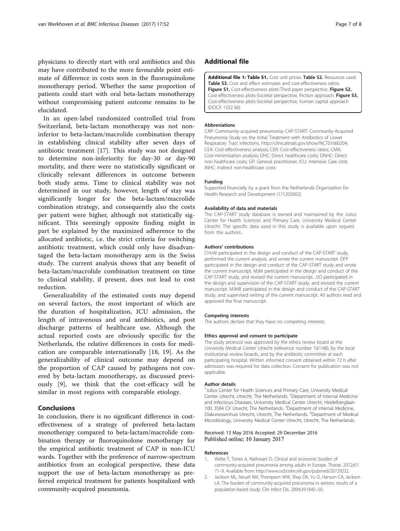<span id="page-6-0"></span>physicians to directly start with oral antibiotics and this may have contributed to the more favourable point estimate of difference in costs seen in the fluoroquinolone monotherapy period. Whether the same proportion of patients could start with oral beta-lactam monotherapy without compromising patient outcome remains to be elucidated.

In an open-label randomized controlled trial from Switzerland, beta-lactam monotherapy was not noninferior to beta-lactam/macrolide combination therapy in establishing clinical stability after seven days of antibiotic treatment [\[17](#page-7-0)]. This study was not designed to determine non-inferiority for day-30 or day-90 mortality, and there were no statistically significant or clinically relevant differences in outcome between both study arms. Time to clinical stability was not determined in our study, however, length of stay was significantly longer for the beta-lactam/macrolide combination strategy, and consequently also the costs per patient were higher, although not statistically significant. This seemingly opposite finding might in part be explained by the maximized adherence to the allocated antibiotic, i.e. the strict criteria for switching antibiotic treatment, which could only have disadvantaged the beta-lactam monotherapy arm in the Swiss study. The current analysis shows that any benefit of beta-lactam/macrolide combination treatment on time to clinical stability, if present, does not lead to cost reduction.

Generalizability of the estimated costs may depend on several factors, the most important of which are the duration of hospitalization, ICU admission, the length of intravenous and oral antibiotics, and post discharge patterns of healthcare use. Although the actual reported costs are obviously specific for the Netherlands, the relative differences in costs for medication are comparable internationally [\[18](#page-7-0), [19\]](#page-7-0). As the generalizability of clinical outcome may depend on the proportion of CAP caused by pathogens not covered by beta-lactam monotherapy, as discussed previously [[9](#page-7-0)], we think that the cost-efficacy will be similar in most regions with comparable etiology.

## **Conclusions**

In conclusion, there is no significant difference in costeffectiveness of a strategy of preferred beta-lactam monotherapy compared to beta-lactam/macrolide combination therapy or fluoroquinolone monotherapy for the empirical antibiotic treatment of CAP in non-ICU wards. Together with the preference of narrow-spectrum antibiotics from an ecological perspective, these data support the use of beta-lactam monotherapy as preferred empirical treatment for patients hospitalized with community-acquired pneumonia.

## Additional file

[Additional file 1: Table S1.](dx.doi.org/10.1186/s12879-016-2179-6) Cost unit prices. Table S2. Resources used. Table S3. Cost and effect estimates and cost-effectiveness ratios. Figure S1. Cost-effectiveness plots-Third payer perspective. Figure S2. Cost-effectiveness plots-Societal perspective, friction approach. Figure S3. Cost-effectiveness plots-Societal perspective, human capital approach (DOCX 1332 kb)

#### Abbreviations

CAP: Community-acquired pneumonia; CAP-START: Community-Acquired Pneumonia Study on the initial Treatment with Antibiotics of Lower Respiratory Tract Infections,<http://clinicaltrials.gov/show/NCT01660204>; CEA: Cost-effectiveness analysis; CER: Cost-effectiveness ratios; CMA: Cost-minimization analysis; DHC: Direct healthcare costs; DNHC: Direct non-healthcare costs; GP: General practitioner; ICU: Intensive Care Unit; INHC: Indirect non-healthcare costs

#### Funding

Supported financially by a grant from the Netherlands Organization for Health Research and Development (171202002).

#### Availability of data and materials

The CAP-START study database is owned and maintained by the Julius Center for Health Sciences and Primary Care, University Medical Center Utrecht. The specific data used in this study is available upon request from the authors.

#### Authors' contributions

CHvW participated in the design and conduct of the CAP-START study, performed the current analysis, and wrote the current manuscript. DFP participated in the design and conduct of the CAP-START study and wrote the current manuscript. MJM participated in the design and conduct of the CAP-START study, and revised the current manuscript. JJO participated in the design and supervision of the CAP-START study, and revised the current manuscript. MJMB participated in the design and conduct of the CAP-START study, and supervised writing of the current manuscript. All authors read and approved the final manuscript.

#### Competing interests

The authors declare that they have no competing interests.

#### Ethics approval and consent to participate

The study protocol was approved by the ethics review board at the University Medical Center Utrecht (reference number 10/148), by the local institutional review boards, and by the antibiotic committee at each participating hospital. Written informed consent obtained within 72 h after admission was required for data collection. Consent for publication was not applicable.

#### Author details

<sup>1</sup> Julius Center for Health Sciences and Primary Care, University Medical Center Utrecht, Utrecht, The Netherlands. <sup>2</sup> Department of Internal Medicine and Infectious Diseases, University Medical Center Utrecht, Heidelberglaan 100, 3584 CX Utrecht, The Netherlands. <sup>3</sup>Department of Internal Medicine, Diakonessenhuis Utrecht, Utrecht, The Netherlands. <sup>4</sup>Department of Medical Microbiology, University Medical Center Utrecht, Utrecht, The Netherlands.

#### Received: 13 May 2016 Accepted: 29 December 2016 Published online: 10 January 2017

#### References

- 1. Welte T, Torres A, Nathwani D. Clinical and economic burden of community-acquired pneumonia among adults in Europe. Thorax. 2012;67: 71–9. Available from:<http://www.ncbi.nlm.nih.gov/pubmed/20729232>.
- 2. Jackson ML, Neuzil KM, Thompson WW, Shay DK, Yu O, Hanson CA, Jackson LA. The burden of community-acquired pneumonia in seniors: results of a population-based study. Clin Infect Dis. 2004;39:1642–50.